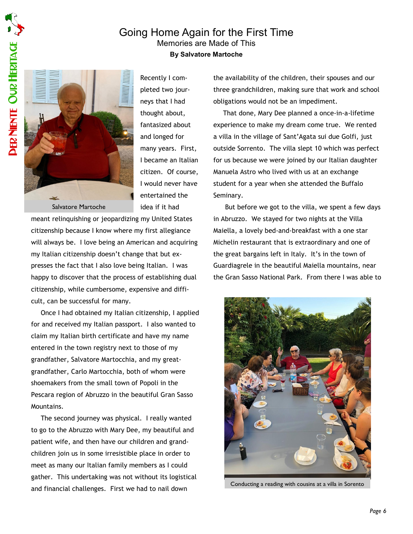## Going Home Again for the First Time Memories are Made of This By Salvatore Martoche



Recently I completed two journeys that I had thought about, fantasized about and longed for many years. First, I became an Italian citizen. Of course, I would never have entertained the idea if it had

meant relinquishing or jeopardizing my United States citizenship because I know where my first allegiance will always be. I love being an American and acquiring my Italian citizenship doesn't change that but expresses the fact that I also love being Italian. I was happy to discover that the process of establishing dual citizenship, while cumbersome, expensive and difficult, can be successful for many.

Once I had obtained my Italian citizenship, I applied for and received my Italian passport. I also wanted to claim my Italian birth certificate and have my name entered in the town registry next to those of my grandfather, Salvatore Martocchia, and my greatgrandfather, Carlo Martocchia, both of whom were shoemakers from the small town of Popoli in the Pescara region of Abruzzo in the beautiful Gran Sasso Mountains.

The second journey was physical. I really wanted to go to the Abruzzo with Mary Dee, my beautiful and patient wife, and then have our children and grandchildren join us in some irresistible place in order to meet as many our Italian family members as I could gather. This undertaking was not without its logistical and financial challenges. First we had to nail down

the availability of the children, their spouses and our three grandchildren, making sure that work and school obligations would not be an impediment.

That done, Mary Dee planned a once-in-a-lifetime experience to make my dream come true. We rented a villa in the village of Sant'Agata sui due Golfi, just outside Sorrento. The villa slept 10 which was perfect for us because we were joined by our Italian daughter Manuela Astro who lived with us at an exchange student for a year when she attended the Buffalo Seminary.

 But before we got to the villa, we spent a few days in Abruzzo. We stayed for two nights at the Villa Maiella, a lovely bed-and-breakfast with a one star Michelin restaurant that is extraordinary and one of the great bargains left in Italy. It's in the town of Guardiagrele in the beautiful Maiella mountains, near the Gran Sasso National Park. From there I was able to



Conducting a reading with cousins at a villa in Sorento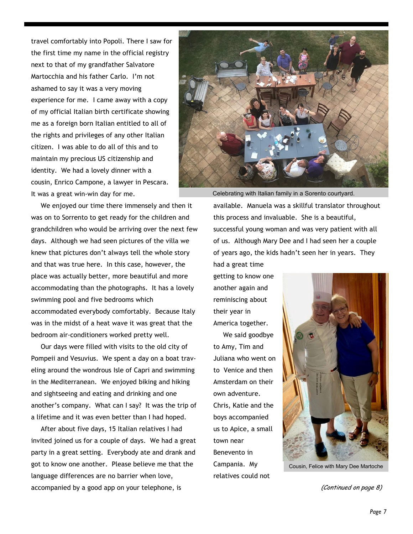travel comfortably into Popoli. There I saw for the first time my name in the official registry next to that of my grandfather Salvatore Martocchia and his father Carlo. I'm not ashamed to say it was a very moving experience for me. I came away with a copy of my official Italian birth certificate showing me as a foreign born Italian entitled to all of the rights and privileges of any other Italian citizen. I was able to do all of this and to maintain my precious US citizenship and identity. We had a lovely dinner with a cousin, Enrico Campone, a lawyer in Pescara. It was a great win-win day for me.

We enjoyed our time there immensely and then it was on to Sorrento to get ready for the children and grandchildren who would be arriving over the next few days. Although we had seen pictures of the villa we knew that pictures don't always tell the whole story and that was true here. In this case, however, the place was actually better, more beautiful and more accommodating than the photographs. It has a lovely swimming pool and five bedrooms which accommodated everybody comfortably. Because Italy was in the midst of a heat wave it was great that the bedroom air-conditioners worked pretty well.

Our days were filled with visits to the old city of Pompeii and Vesuvius. We spent a day on a boat traveling around the wondrous Isle of Capri and swimming in the Mediterranean. We enjoyed biking and hiking and sightseeing and eating and drinking and one another's company. What can I say? It was the trip of a lifetime and it was even better than I had hoped.

After about five days, 15 Italian relatives I had invited joined us for a couple of days. We had a great party in a great setting. Everybody ate and drank and got to know one another. Please believe me that the language differences are no barrier when love, accompanied by a good app on your telephone, is



available. Manuela was a skillful translator throughout this process and invaluable. She is a beautiful, successful young woman and was very patient with all of us. Although Mary Dee and I had seen her a couple of years ago, the kids hadn't seen her in years. They had a great time Celebrating with Italian family in a Sorento courtyard.

getting to know one another again and reminiscing about their year in America together.

We said goodbye to Amy, Tim and Juliana who went on to Venice and then Amsterdam on their own adventure. Chris, Katie and the boys accompanied us to Apice, a small town near Benevento in Campania. My relatives could not



Cousin, Felice with Mary Dee Martoche

(Continued on page 8)